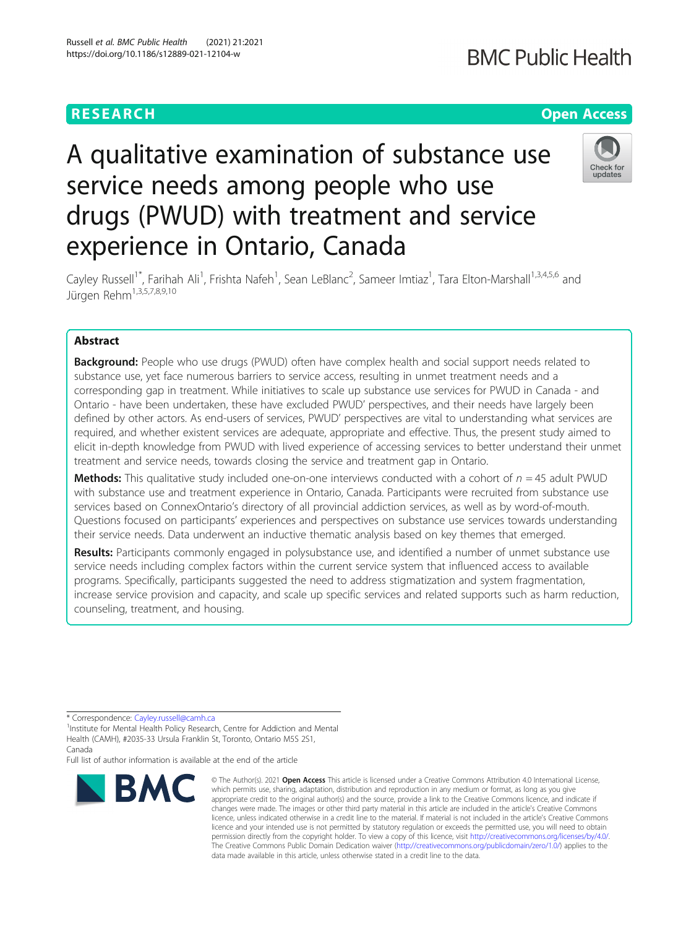# **RESEARCH CHE Open Access**

# A qualitative examination of substance use service needs among people who use drugs (PWUD) with treatment and service experience in Ontario, Canada



Cayley Russell<sup>1\*</sup>, Farihah Ali<sup>1</sup>, Frishta Nafeh<sup>1</sup>, Sean LeBlanc<sup>2</sup>, Sameer Imtiaz<sup>1</sup>, Tara Elton-Marshall<sup>1,3,4,5,6</sup> and Jürgen Rehm<sup>1,3,5,7,8,9,10</sup>

# Abstract

**Background:** People who use drugs (PWUD) often have complex health and social support needs related to substance use, yet face numerous barriers to service access, resulting in unmet treatment needs and a corresponding gap in treatment. While initiatives to scale up substance use services for PWUD in Canada - and Ontario - have been undertaken, these have excluded PWUD' perspectives, and their needs have largely been defined by other actors. As end-users of services, PWUD' perspectives are vital to understanding what services are required, and whether existent services are adequate, appropriate and effective. Thus, the present study aimed to elicit in-depth knowledge from PWUD with lived experience of accessing services to better understand their unmet treatment and service needs, towards closing the service and treatment gap in Ontario.

**Methods:** This qualitative study included one-on-one interviews conducted with a cohort of  $n = 45$  adult PWUD with substance use and treatment experience in Ontario, Canada. Participants were recruited from substance use services based on ConnexOntario's directory of all provincial addiction services, as well as by word-of-mouth. Questions focused on participants' experiences and perspectives on substance use services towards understanding their service needs. Data underwent an inductive thematic analysis based on key themes that emerged.

Results: Participants commonly engaged in polysubstance use, and identified a number of unmet substance use service needs including complex factors within the current service system that influenced access to available programs. Specifically, participants suggested the need to address stigmatization and system fragmentation, increase service provision and capacity, and scale up specific services and related supports such as harm reduction, counseling, treatment, and housing.

\* Correspondence: [Cayley.russell@camh.ca](mailto:Cayley.russell@camh.ca) <sup>1</sup>

Full list of author information is available at the end of the article



<sup>©</sup> The Author(s), 2021 **Open Access** This article is licensed under a Creative Commons Attribution 4.0 International License, which permits use, sharing, adaptation, distribution and reproduction in any medium or format, as long as you give appropriate credit to the original author(s) and the source, provide a link to the Creative Commons licence, and indicate if changes were made. The images or other third party material in this article are included in the article's Creative Commons licence, unless indicated otherwise in a credit line to the material. If material is not included in the article's Creative Commons licence and your intended use is not permitted by statutory regulation or exceeds the permitted use, you will need to obtain permission directly from the copyright holder. To view a copy of this licence, visit [http://creativecommons.org/licenses/by/4.0/.](http://creativecommons.org/licenses/by/4.0/) The Creative Commons Public Domain Dedication waiver [\(http://creativecommons.org/publicdomain/zero/1.0/](http://creativecommons.org/publicdomain/zero/1.0/)) applies to the data made available in this article, unless otherwise stated in a credit line to the data.

<sup>&</sup>lt;sup>1</sup> Institute for Mental Health Policy Research, Centre for Addiction and Mental Health (CAMH), #2035-33 Ursula Franklin St, Toronto, Ontario M5S 2S1, Canada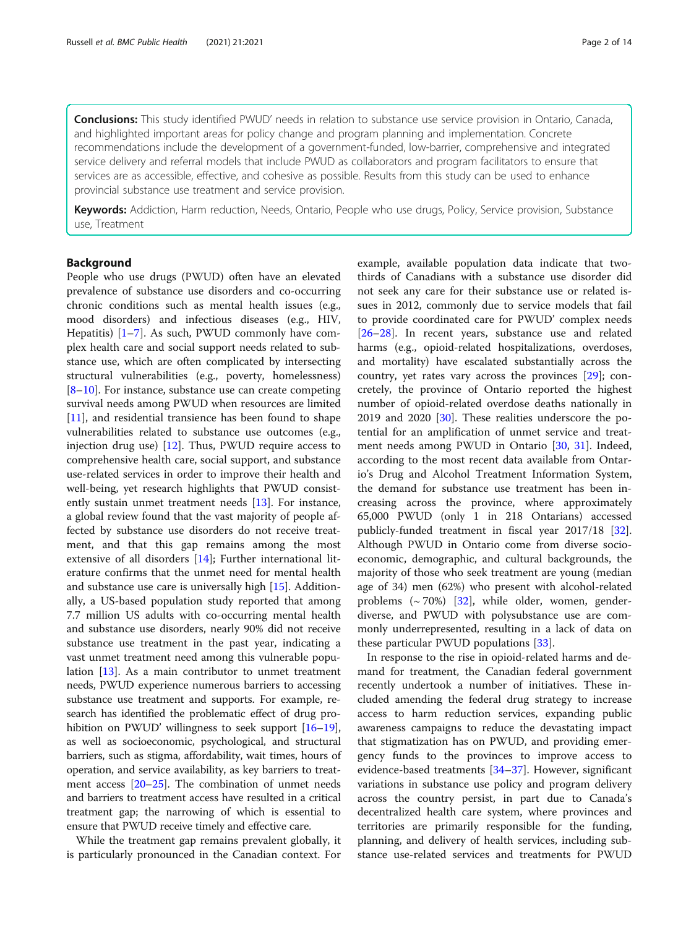Conclusions: This study identified PWUD' needs in relation to substance use service provision in Ontario, Canada, and highlighted important areas for policy change and program planning and implementation. Concrete recommendations include the development of a government-funded, low-barrier, comprehensive and integrated service delivery and referral models that include PWUD as collaborators and program facilitators to ensure that services are as accessible, effective, and cohesive as possible. Results from this study can be used to enhance provincial substance use treatment and service provision.

Keywords: Addiction, Harm reduction, Needs, Ontario, People who use drugs, Policy, Service provision, Substance use, Treatment

# Background

People who use drugs (PWUD) often have an elevated prevalence of substance use disorders and co-occurring chronic conditions such as mental health issues (e.g., mood disorders) and infectious diseases (e.g., HIV, Hepatitis)  $[1–7]$  $[1–7]$  $[1–7]$  $[1–7]$ . As such, PWUD commonly have complex health care and social support needs related to substance use, which are often complicated by intersecting structural vulnerabilities (e.g., poverty, homelessness) [[8](#page-11-0)–[10\]](#page-11-0). For instance, substance use can create competing survival needs among PWUD when resources are limited [[11\]](#page-11-0), and residential transience has been found to shape vulnerabilities related to substance use outcomes (e.g., injection drug use) [[12\]](#page-11-0). Thus, PWUD require access to comprehensive health care, social support, and substance use-related services in order to improve their health and well-being, yet research highlights that PWUD consistently sustain unmet treatment needs [[13\]](#page-11-0). For instance, a global review found that the vast majority of people affected by substance use disorders do not receive treatment, and that this gap remains among the most extensive of all disorders [\[14](#page-11-0)]; Further international literature confirms that the unmet need for mental health and substance use care is universally high [[15\]](#page-11-0). Additionally, a US-based population study reported that among 7.7 million US adults with co-occurring mental health and substance use disorders, nearly 90% did not receive substance use treatment in the past year, indicating a vast unmet treatment need among this vulnerable population [\[13](#page-11-0)]. As a main contributor to unmet treatment needs, PWUD experience numerous barriers to accessing substance use treatment and supports. For example, research has identified the problematic effect of drug pro-hibition on PWUD' willingness to seek support [\[16](#page-11-0)–[19](#page-11-0)], as well as socioeconomic, psychological, and structural barriers, such as stigma, affordability, wait times, hours of operation, and service availability, as key barriers to treatment access [\[20](#page-11-0)–[25](#page-12-0)]. The combination of unmet needs and barriers to treatment access have resulted in a critical treatment gap; the narrowing of which is essential to ensure that PWUD receive timely and effective care.

While the treatment gap remains prevalent globally, it is particularly pronounced in the Canadian context. For

example, available population data indicate that twothirds of Canadians with a substance use disorder did not seek any care for their substance use or related issues in 2012, commonly due to service models that fail to provide coordinated care for PWUD' complex needs [[26](#page-12-0)–[28](#page-12-0)]. In recent years, substance use and related harms (e.g., opioid-related hospitalizations, overdoses, and mortality) have escalated substantially across the country, yet rates vary across the provinces [\[29](#page-12-0)]; concretely, the province of Ontario reported the highest number of opioid-related overdose deaths nationally in 2019 and 2020 [[30](#page-12-0)]. These realities underscore the potential for an amplification of unmet service and treatment needs among PWUD in Ontario [\[30](#page-12-0), [31](#page-12-0)]. Indeed, according to the most recent data available from Ontario's Drug and Alcohol Treatment Information System, the demand for substance use treatment has been increasing across the province, where approximately 65,000 PWUD (only 1 in 218 Ontarians) accessed publicly-funded treatment in fiscal year 2017/18 [\[32](#page-12-0)]. Although PWUD in Ontario come from diverse socioeconomic, demographic, and cultural backgrounds, the majority of those who seek treatment are young (median age of 34) men (62%) who present with alcohol-related problems  $({\sim}70%)$  [[32\]](#page-12-0), while older, women, genderdiverse, and PWUD with polysubstance use are commonly underrepresented, resulting in a lack of data on these particular PWUD populations [[33\]](#page-12-0).

In response to the rise in opioid-related harms and demand for treatment, the Canadian federal government recently undertook a number of initiatives. These included amending the federal drug strategy to increase access to harm reduction services, expanding public awareness campaigns to reduce the devastating impact that stigmatization has on PWUD, and providing emergency funds to the provinces to improve access to evidence-based treatments [\[34](#page-12-0)–[37\]](#page-12-0). However, significant variations in substance use policy and program delivery across the country persist, in part due to Canada's decentralized health care system, where provinces and territories are primarily responsible for the funding, planning, and delivery of health services, including substance use-related services and treatments for PWUD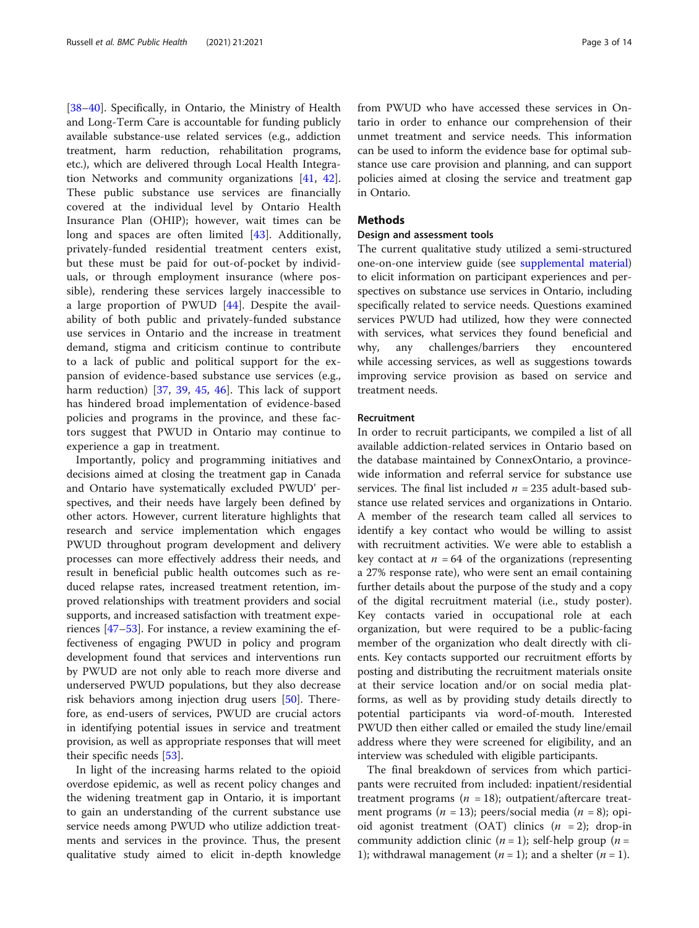[[38](#page-12-0)–[40](#page-12-0)]. Specifically, in Ontario, the Ministry of Health and Long-Term Care is accountable for funding publicly available substance-use related services (e.g., addiction treatment, harm reduction, rehabilitation programs, etc.), which are delivered through Local Health Integration Networks and community organizations [\[41,](#page-12-0) [42](#page-12-0)]. These public substance use services are financially covered at the individual level by Ontario Health Insurance Plan (OHIP); however, wait times can be long and spaces are often limited [\[43](#page-12-0)]. Additionally, privately-funded residential treatment centers exist, but these must be paid for out-of-pocket by individuals, or through employment insurance (where possible), rendering these services largely inaccessible to a large proportion of PWUD [\[44](#page-12-0)]. Despite the availability of both public and privately-funded substance use services in Ontario and the increase in treatment demand, stigma and criticism continue to contribute to a lack of public and political support for the expansion of evidence-based substance use services (e.g., harm reduction) [[37,](#page-12-0) [39](#page-12-0), [45](#page-12-0), [46\]](#page-12-0). This lack of support has hindered broad implementation of evidence-based policies and programs in the province, and these factors suggest that PWUD in Ontario may continue to experience a gap in treatment.

Importantly, policy and programming initiatives and decisions aimed at closing the treatment gap in Canada and Ontario have systematically excluded PWUD' perspectives, and their needs have largely been defined by other actors. However, current literature highlights that research and service implementation which engages PWUD throughout program development and delivery processes can more effectively address their needs, and result in beneficial public health outcomes such as reduced relapse rates, increased treatment retention, improved relationships with treatment providers and social supports, and increased satisfaction with treatment experiences [[47](#page-12-0)–[53](#page-12-0)]. For instance, a review examining the effectiveness of engaging PWUD in policy and program development found that services and interventions run by PWUD are not only able to reach more diverse and underserved PWUD populations, but they also decrease risk behaviors among injection drug users [\[50\]](#page-12-0). Therefore, as end-users of services, PWUD are crucial actors in identifying potential issues in service and treatment provision, as well as appropriate responses that will meet their specific needs [\[53\]](#page-12-0).

In light of the increasing harms related to the opioid overdose epidemic, as well as recent policy changes and the widening treatment gap in Ontario, it is important to gain an understanding of the current substance use service needs among PWUD who utilize addiction treatments and services in the province. Thus, the present qualitative study aimed to elicit in-depth knowledge

from PWUD who have accessed these services in Ontario in order to enhance our comprehension of their unmet treatment and service needs. This information can be used to inform the evidence base for optimal substance use care provision and planning, and can support policies aimed at closing the service and treatment gap in Ontario.

# **Methods**

# Design and assessment tools

The current qualitative study utilized a semi-structured one-on-one interview guide (see [supplemental material](#page-10-0)) to elicit information on participant experiences and perspectives on substance use services in Ontario, including specifically related to service needs. Questions examined services PWUD had utilized, how they were connected with services, what services they found beneficial and why, any challenges/barriers they encountered while accessing services, as well as suggestions towards improving service provision as based on service and treatment needs.

# Recruitment

In order to recruit participants, we compiled a list of all available addiction-related services in Ontario based on the database maintained by ConnexOntario, a provincewide information and referral service for substance use services. The final list included  $n = 235$  adult-based substance use related services and organizations in Ontario. A member of the research team called all services to identify a key contact who would be willing to assist with recruitment activities. We were able to establish a key contact at  $n = 64$  of the organizations (representing a 27% response rate), who were sent an email containing further details about the purpose of the study and a copy of the digital recruitment material (i.e., study poster). Key contacts varied in occupational role at each organization, but were required to be a public-facing member of the organization who dealt directly with clients. Key contacts supported our recruitment efforts by posting and distributing the recruitment materials onsite at their service location and/or on social media platforms, as well as by providing study details directly to potential participants via word-of-mouth. Interested PWUD then either called or emailed the study line/email address where they were screened for eligibility, and an interview was scheduled with eligible participants.

The final breakdown of services from which participants were recruited from included: inpatient/residential treatment programs ( $n = 18$ ); outpatient/aftercare treatment programs ( $n = 13$ ); peers/social media ( $n = 8$ ); opioid agonist treatment (OAT) clinics  $(n = 2)$ ; drop-in community addiction clinic  $(n = 1)$ ; self-help group  $(n = 1)$ 1); withdrawal management ( $n = 1$ ); and a shelter ( $n = 1$ ).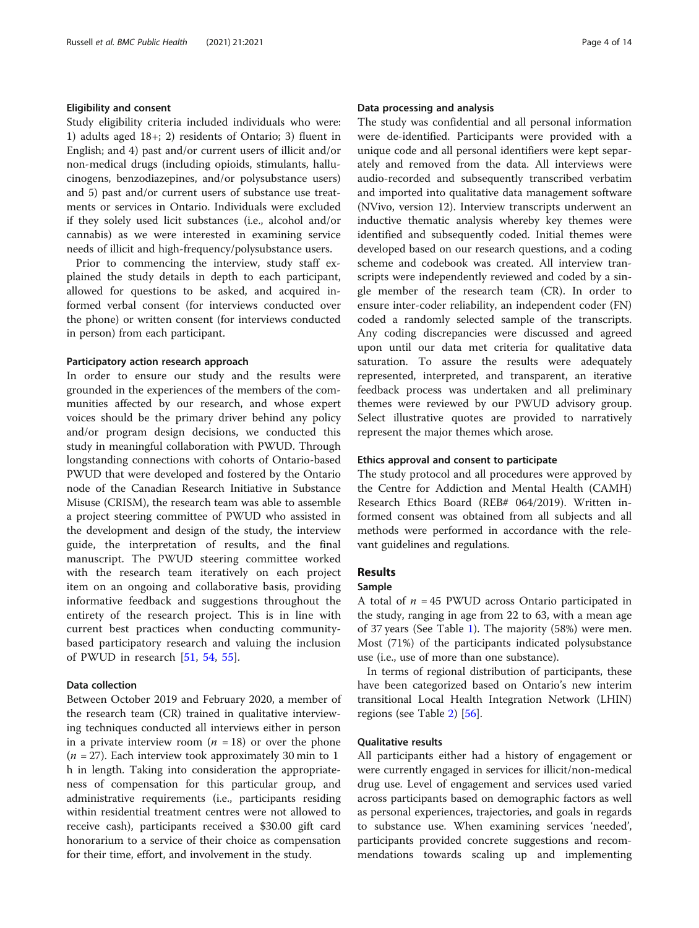# Eligibility and consent

Study eligibility criteria included individuals who were: 1) adults aged 18+; 2) residents of Ontario; 3) fluent in English; and 4) past and/or current users of illicit and/or non-medical drugs (including opioids, stimulants, hallucinogens, benzodiazepines, and/or polysubstance users) and 5) past and/or current users of substance use treatments or services in Ontario. Individuals were excluded if they solely used licit substances (i.e., alcohol and/or cannabis) as we were interested in examining service needs of illicit and high-frequency/polysubstance users.

Prior to commencing the interview, study staff explained the study details in depth to each participant, allowed for questions to be asked, and acquired informed verbal consent (for interviews conducted over the phone) or written consent (for interviews conducted in person) from each participant.

# Participatory action research approach

In order to ensure our study and the results were grounded in the experiences of the members of the communities affected by our research, and whose expert voices should be the primary driver behind any policy and/or program design decisions, we conducted this study in meaningful collaboration with PWUD. Through longstanding connections with cohorts of Ontario-based PWUD that were developed and fostered by the Ontario node of the Canadian Research Initiative in Substance Misuse (CRISM), the research team was able to assemble a project steering committee of PWUD who assisted in the development and design of the study, the interview guide, the interpretation of results, and the final manuscript. The PWUD steering committee worked with the research team iteratively on each project item on an ongoing and collaborative basis, providing informative feedback and suggestions throughout the entirety of the research project. This is in line with current best practices when conducting communitybased participatory research and valuing the inclusion of PWUD in research [[51,](#page-12-0) [54](#page-12-0), [55](#page-12-0)].

# Data collection

Between October 2019 and February 2020, a member of the research team (CR) trained in qualitative interviewing techniques conducted all interviews either in person in a private interview room ( $n = 18$ ) or over the phone  $(n = 27)$ . Each interview took approximately 30 min to 1 h in length. Taking into consideration the appropriateness of compensation for this particular group, and administrative requirements (i.e., participants residing within residential treatment centres were not allowed to receive cash), participants received a \$30.00 gift card honorarium to a service of their choice as compensation for their time, effort, and involvement in the study.

# Data processing and analysis

The study was confidential and all personal information were de-identified. Participants were provided with a unique code and all personal identifiers were kept separately and removed from the data. All interviews were audio-recorded and subsequently transcribed verbatim and imported into qualitative data management software (NVivo, version 12). Interview transcripts underwent an inductive thematic analysis whereby key themes were identified and subsequently coded. Initial themes were developed based on our research questions, and a coding scheme and codebook was created. All interview transcripts were independently reviewed and coded by a single member of the research team (CR). In order to ensure inter-coder reliability, an independent coder (FN) coded a randomly selected sample of the transcripts. Any coding discrepancies were discussed and agreed upon until our data met criteria for qualitative data saturation. To assure the results were adequately represented, interpreted, and transparent, an iterative feedback process was undertaken and all preliminary themes were reviewed by our PWUD advisory group. Select illustrative quotes are provided to narratively represent the major themes which arose.

# Ethics approval and consent to participate

The study protocol and all procedures were approved by the Centre for Addiction and Mental Health (CAMH) Research Ethics Board (REB# 064/2019). Written informed consent was obtained from all subjects and all methods were performed in accordance with the relevant guidelines and regulations.

# Results

# Sample

A total of  $n = 45$  PWUD across Ontario participated in the study, ranging in age from 22 to 63, with a mean age of 37 years (See Table [1\)](#page-4-0). The majority (58%) were men. Most (71%) of the participants indicated polysubstance use (i.e., use of more than one substance).

In terms of regional distribution of participants, these have been categorized based on Ontario's new interim transitional Local Health Integration Network (LHIN) regions (see Table [2\)](#page-4-0) [\[56\]](#page-12-0).

# Qualitative results

All participants either had a history of engagement or were currently engaged in services for illicit/non-medical drug use. Level of engagement and services used varied across participants based on demographic factors as well as personal experiences, trajectories, and goals in regards to substance use. When examining services 'needed', participants provided concrete suggestions and recommendations towards scaling up and implementing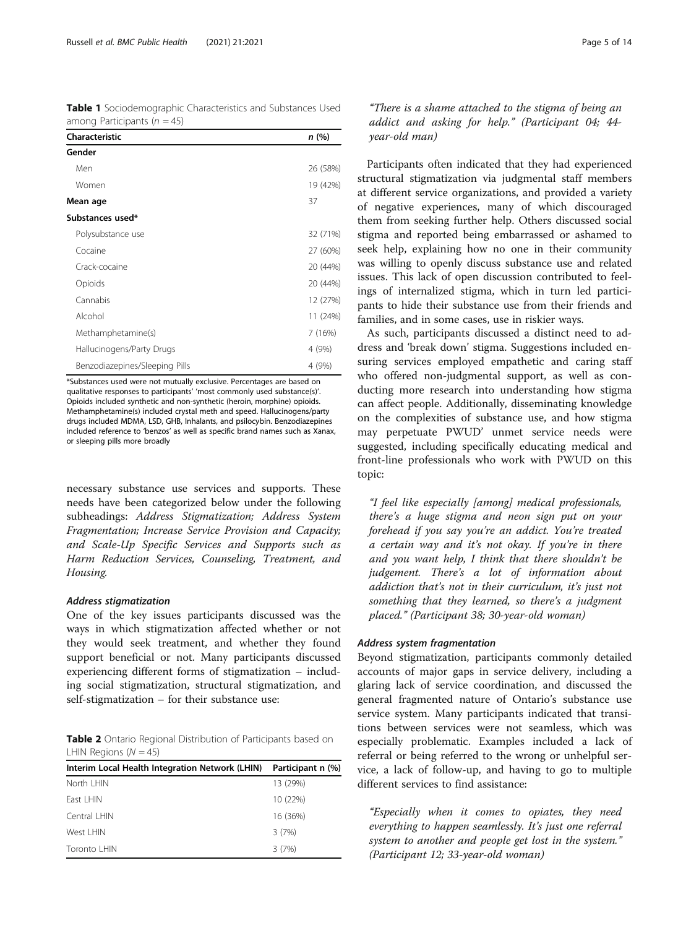<span id="page-4-0"></span>**Table 1** Sociodemographic Characteristics and Substances Used among Participants ( $n = 45$ )

| Characteristic                 | n (%)    |
|--------------------------------|----------|
| Gender                         |          |
| Men                            | 26 (58%) |
| Women                          | 19 (42%) |
| Mean age                       | 37       |
| Substances used*               |          |
| Polysubstance use              | 32 (71%) |
| Cocaine                        | 27 (60%) |
| Crack-cocaine                  | 20 (44%) |
| Opioids                        | 20 (44%) |
| Cannabis                       | 12 (27%) |
| Alcohol                        | 11 (24%) |
| Methamphetamine(s)             | 7(16%)   |
| Hallucinogens/Party Drugs      | 4 (9%)   |
| Benzodiazepines/Sleeping Pills | 4 (9%)   |

\*Substances used were not mutually exclusive. Percentages are based on qualitative responses to participants' 'most commonly used substance(s)'. Opioids included synthetic and non-synthetic (heroin, morphine) opioids. Methamphetamine(s) included crystal meth and speed. Hallucinogens/party drugs included MDMA, LSD, GHB, Inhalants, and psilocybin. Benzodiazepines included reference to 'benzos' as well as specific brand names such as Xanax, or sleeping pills more broadly

necessary substance use services and supports. These needs have been categorized below under the following subheadings: Address Stigmatization; Address System Fragmentation; Increase Service Provision and Capacity; and Scale-Up Specific Services and Supports such as Harm Reduction Services, Counseling, Treatment, and Housing.

# Address stigmatization

One of the key issues participants discussed was the ways in which stigmatization affected whether or not they would seek treatment, and whether they found support beneficial or not. Many participants discussed experiencing different forms of stigmatization – including social stigmatization, structural stigmatization, and self-stigmatization – for their substance use:

Table 2 Ontario Regional Distribution of Participants based on LHIN Regions ( $N = 45$ )

| Interim Local Health Integration Network (LHIN) | Participant n (%) |
|-------------------------------------------------|-------------------|
| North I HIN                                     | 13 (29%)          |
| Fast I HIN                                      | 10 (22%)          |
| Central I HIN                                   | 16 (36%)          |
| West I HIN                                      | 3(7%)             |
| Toronto I HIN                                   | 3(7%)             |

"There is a shame attached to the stigma of being an addict and asking for help." (Participant 04; 44 year-old man)

Participants often indicated that they had experienced structural stigmatization via judgmental staff members at different service organizations, and provided a variety of negative experiences, many of which discouraged them from seeking further help. Others discussed social stigma and reported being embarrassed or ashamed to seek help, explaining how no one in their community was willing to openly discuss substance use and related issues. This lack of open discussion contributed to feelings of internalized stigma, which in turn led participants to hide their substance use from their friends and families, and in some cases, use in riskier ways.

As such, participants discussed a distinct need to address and 'break down' stigma. Suggestions included ensuring services employed empathetic and caring staff who offered non-judgmental support, as well as conducting more research into understanding how stigma can affect people. Additionally, disseminating knowledge on the complexities of substance use, and how stigma may perpetuate PWUD' unmet service needs were suggested, including specifically educating medical and front-line professionals who work with PWUD on this topic:

"I feel like especially [among] medical professionals, there's a huge stigma and neon sign put on your forehead if you say you're an addict. You're treated a certain way and it's not okay. If you're in there and you want help, I think that there shouldn't be judgement. There's a lot of information about addiction that's not in their curriculum, it's just not something that they learned, so there's a judgment placed." (Participant 38; 30-year-old woman)

# Address system fragmentation

Beyond stigmatization, participants commonly detailed accounts of major gaps in service delivery, including a glaring lack of service coordination, and discussed the general fragmented nature of Ontario's substance use service system. Many participants indicated that transitions between services were not seamless, which was especially problematic. Examples included a lack of referral or being referred to the wrong or unhelpful service, a lack of follow-up, and having to go to multiple different services to find assistance:

"Especially when it comes to opiates, they need everything to happen seamlessly. It's just one referral system to another and people get lost in the system." (Participant 12; 33-year-old woman)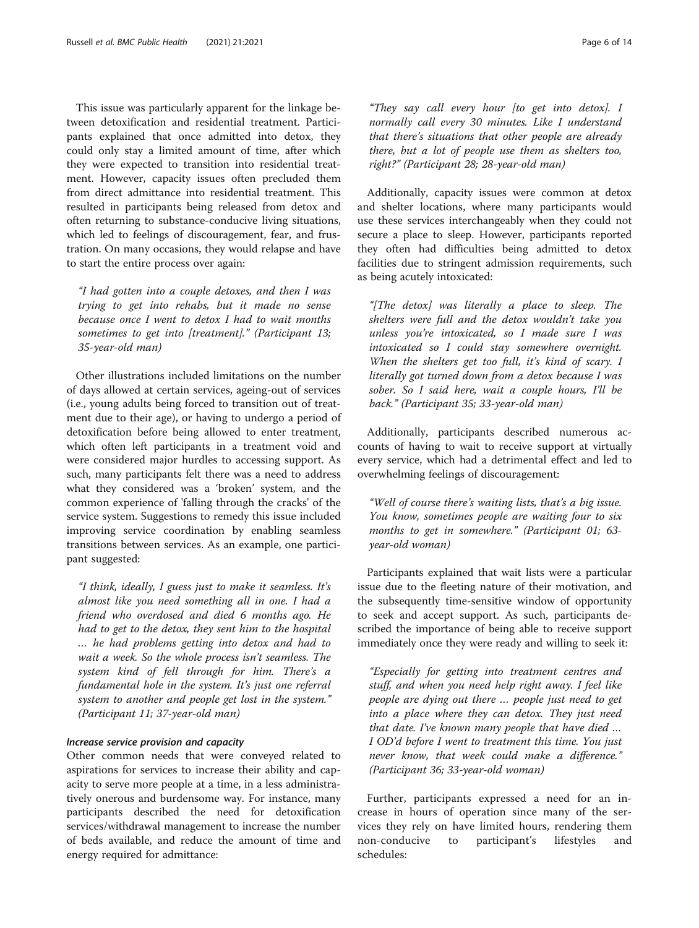This issue was particularly apparent for the linkage between detoxification and residential treatment. Participants explained that once admitted into detox, they could only stay a limited amount of time, after which they were expected to transition into residential treatment. However, capacity issues often precluded them from direct admittance into residential treatment. This resulted in participants being released from detox and often returning to substance-conducive living situations, which led to feelings of discouragement, fear, and frustration. On many occasions, they would relapse and have to start the entire process over again:

"I had gotten into a couple detoxes, and then I was trying to get into rehabs, but it made no sense because once I went to detox I had to wait months sometimes to get into [treatment]." (Participant 13; 35-year-old man)

Other illustrations included limitations on the number of days allowed at certain services, ageing-out of services (i.e., young adults being forced to transition out of treatment due to their age), or having to undergo a period of detoxification before being allowed to enter treatment, which often left participants in a treatment void and were considered major hurdles to accessing support. As such, many participants felt there was a need to address what they considered was a 'broken' system, and the common experience of 'falling through the cracks' of the service system. Suggestions to remedy this issue included improving service coordination by enabling seamless transitions between services. As an example, one participant suggested:

"I think, ideally, I guess just to make it seamless. It's almost like you need something all in one. I had a friend who overdosed and died 6 months ago. He had to get to the detox, they sent him to the hospital … he had problems getting into detox and had to wait a week. So the whole process isn't seamless. The system kind of fell through for him. There's a fundamental hole in the system. It's just one referral system to another and people get lost in the system." (Participant 11; 37-year-old man)

# Increase service provision and capacity

Other common needs that were conveyed related to aspirations for services to increase their ability and capacity to serve more people at a time, in a less administratively onerous and burdensome way. For instance, many participants described the need for detoxification services/withdrawal management to increase the number of beds available, and reduce the amount of time and energy required for admittance:

"They say call every hour [to get into detox]. I normally call every 30 minutes. Like I understand that there's situations that other people are already there, but a lot of people use them as shelters too, right?" (Participant 28; 28-year-old man)

Additionally, capacity issues were common at detox and shelter locations, where many participants would use these services interchangeably when they could not secure a place to sleep. However, participants reported they often had difficulties being admitted to detox facilities due to stringent admission requirements, such as being acutely intoxicated:

"[The detox] was literally a place to sleep. The shelters were full and the detox wouldn't take you unless you're intoxicated, so I made sure I was intoxicated so I could stay somewhere overnight. When the shelters get too full, it's kind of scary. I literally got turned down from a detox because I was sober. So I said here, wait a couple hours, I'll be back." (Participant 35; 33-year-old man)

Additionally, participants described numerous accounts of having to wait to receive support at virtually every service, which had a detrimental effect and led to overwhelming feelings of discouragement:

"Well of course there's waiting lists, that's a big issue. You know, sometimes people are waiting four to six months to get in somewhere." (Participant 01; 63 year-old woman)

Participants explained that wait lists were a particular issue due to the fleeting nature of their motivation, and the subsequently time-sensitive window of opportunity to seek and accept support. As such, participants described the importance of being able to receive support immediately once they were ready and willing to seek it:

"Especially for getting into treatment centres and stuff, and when you need help right away. I feel like people are dying out there … people just need to get into a place where they can detox. They just need that date. I've known many people that have died … I OD'd before I went to treatment this time. You just never know, that week could make a difference." (Participant 36; 33-year-old woman)

Further, participants expressed a need for an increase in hours of operation since many of the services they rely on have limited hours, rendering them non-conducive to participant's lifestyles and schedules: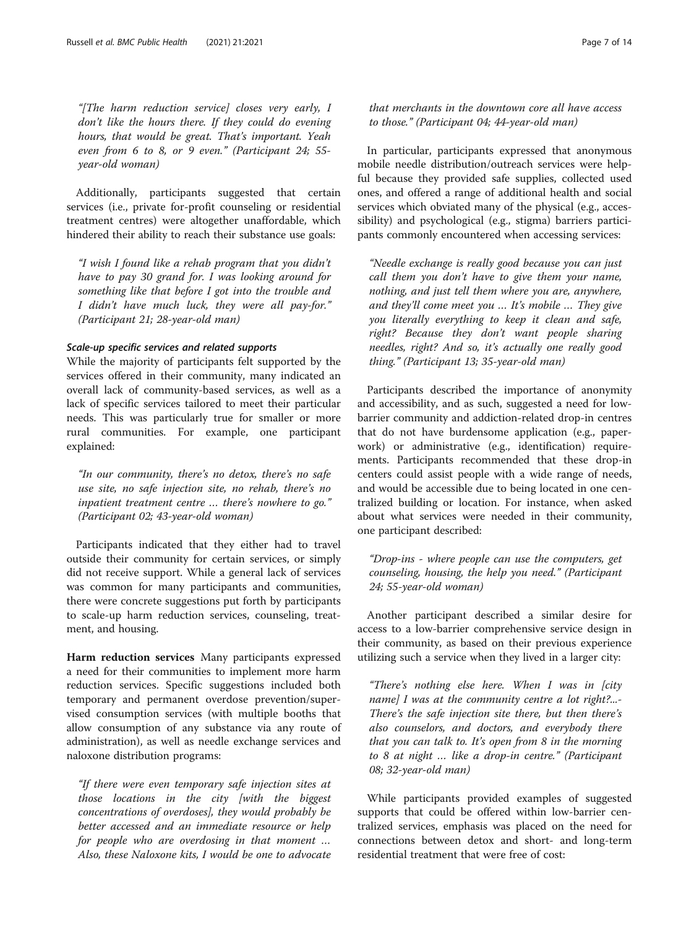"[The harm reduction service] closes very early, I don't like the hours there. If they could do evening hours, that would be great. That's important. Yeah even from 6 to 8, or 9 even." (Participant 24; 55 year-old woman)

Additionally, participants suggested that certain services (i.e., private for-profit counseling or residential treatment centres) were altogether unaffordable, which hindered their ability to reach their substance use goals:

"I wish I found like a rehab program that you didn't have to pay 30 grand for. I was looking around for something like that before I got into the trouble and I didn't have much luck, they were all pay-for." (Participant 21; 28-year-old man)

# Scale-up specific services and related supports

While the majority of participants felt supported by the services offered in their community, many indicated an overall lack of community-based services, as well as a lack of specific services tailored to meet their particular needs. This was particularly true for smaller or more rural communities. For example, one participant explained:

"In our community, there's no detox, there's no safe use site, no safe injection site, no rehab, there's no inpatient treatment centre … there's nowhere to go." (Participant 02; 43-year-old woman)

Participants indicated that they either had to travel outside their community for certain services, or simply did not receive support. While a general lack of services was common for many participants and communities, there were concrete suggestions put forth by participants to scale-up harm reduction services, counseling, treatment, and housing.

Harm reduction services Many participants expressed a need for their communities to implement more harm reduction services. Specific suggestions included both temporary and permanent overdose prevention/supervised consumption services (with multiple booths that allow consumption of any substance via any route of administration), as well as needle exchange services and naloxone distribution programs:

"If there were even temporary safe injection sites at those locations in the city [with the biggest concentrations of overdoses], they would probably be better accessed and an immediate resource or help for people who are overdosing in that moment … Also, these Naloxone kits, I would be one to advocate

# that merchants in the downtown core all have access to those." (Participant 04; 44-year-old man)

In particular, participants expressed that anonymous mobile needle distribution/outreach services were helpful because they provided safe supplies, collected used ones, and offered a range of additional health and social services which obviated many of the physical (e.g., accessibility) and psychological (e.g., stigma) barriers participants commonly encountered when accessing services:

"Needle exchange is really good because you can just call them you don't have to give them your name, nothing, and just tell them where you are, anywhere, and they'll come meet you … It's mobile … They give you literally everything to keep it clean and safe, right? Because they don't want people sharing needles, right? And so, it's actually one really good thing." (Participant 13; 35-year-old man)

Participants described the importance of anonymity and accessibility, and as such, suggested a need for lowbarrier community and addiction-related drop-in centres that do not have burdensome application (e.g., paperwork) or administrative (e.g., identification) requirements. Participants recommended that these drop-in centers could assist people with a wide range of needs, and would be accessible due to being located in one centralized building or location. For instance, when asked about what services were needed in their community, one participant described:

"Drop-ins - where people can use the computers, get counseling, housing, the help you need." (Participant 24; 55-year-old woman)

Another participant described a similar desire for access to a low-barrier comprehensive service design in their community, as based on their previous experience utilizing such a service when they lived in a larger city:

"There's nothing else here. When I was in [city name] I was at the community centre a lot right?...-There's the safe injection site there, but then there's also counselors, and doctors, and everybody there that you can talk to. It's open from 8 in the morning to 8 at night … like a drop-in centre." (Participant 08; 32-year-old man)

While participants provided examples of suggested supports that could be offered within low-barrier centralized services, emphasis was placed on the need for connections between detox and short- and long-term residential treatment that were free of cost: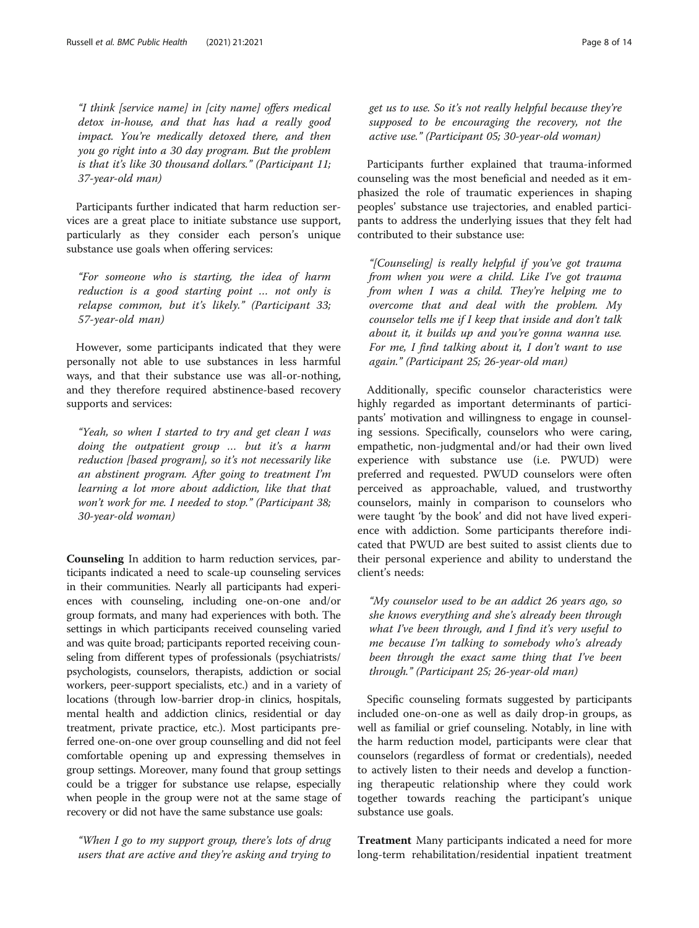"I think [service name] in [city name] offers medical detox in-house, and that has had a really good impact. You're medically detoxed there, and then you go right into a 30 day program. But the problem is that it's like 30 thousand dollars." (Participant 11; 37-year-old man)

Participants further indicated that harm reduction services are a great place to initiate substance use support, particularly as they consider each person's unique substance use goals when offering services:

"For someone who is starting, the idea of harm reduction is a good starting point … not only is relapse common, but it's likely." (Participant 33; 57-year-old man)

However, some participants indicated that they were personally not able to use substances in less harmful ways, and that their substance use was all-or-nothing, and they therefore required abstinence-based recovery supports and services:

"Yeah, so when I started to try and get clean I was doing the outpatient group … but it's a harm reduction [based program], so it's not necessarily like an abstinent program. After going to treatment I'm learning a lot more about addiction, like that that won't work for me. I needed to stop." (Participant 38; 30-year-old woman)

Counseling In addition to harm reduction services, participants indicated a need to scale-up counseling services in their communities. Nearly all participants had experiences with counseling, including one-on-one and/or group formats, and many had experiences with both. The settings in which participants received counseling varied and was quite broad; participants reported receiving counseling from different types of professionals (psychiatrists/ psychologists, counselors, therapists, addiction or social workers, peer-support specialists, etc.) and in a variety of locations (through low-barrier drop-in clinics, hospitals, mental health and addiction clinics, residential or day treatment, private practice, etc.). Most participants preferred one-on-one over group counselling and did not feel comfortable opening up and expressing themselves in group settings. Moreover, many found that group settings could be a trigger for substance use relapse, especially when people in the group were not at the same stage of recovery or did not have the same substance use goals:

"When I go to my support group, there's lots of drug users that are active and they're asking and trying to

get us to use. So it's not really helpful because they're supposed to be encouraging the recovery, not the active use." (Participant 05; 30-year-old woman)

Participants further explained that trauma-informed counseling was the most beneficial and needed as it emphasized the role of traumatic experiences in shaping peoples' substance use trajectories, and enabled participants to address the underlying issues that they felt had contributed to their substance use:

"[Counseling] is really helpful if you've got trauma from when you were a child. Like I've got trauma from when I was a child. They're helping me to overcome that and deal with the problem. My counselor tells me if I keep that inside and don't talk about it, it builds up and you're gonna wanna use. For me, I find talking about it, I don't want to use again." (Participant 25; 26-year-old man)

Additionally, specific counselor characteristics were highly regarded as important determinants of participants' motivation and willingness to engage in counseling sessions. Specifically, counselors who were caring, empathetic, non-judgmental and/or had their own lived experience with substance use (i.e. PWUD) were preferred and requested. PWUD counselors were often perceived as approachable, valued, and trustworthy counselors, mainly in comparison to counselors who were taught 'by the book' and did not have lived experience with addiction. Some participants therefore indicated that PWUD are best suited to assist clients due to their personal experience and ability to understand the client's needs:

"My counselor used to be an addict 26 years ago, so she knows everything and she's already been through what I've been through, and I find it's very useful to me because I'm talking to somebody who's already been through the exact same thing that I've been through." (Participant 25; 26-year-old man)

Specific counseling formats suggested by participants included one-on-one as well as daily drop-in groups, as well as familial or grief counseling. Notably, in line with the harm reduction model, participants were clear that counselors (regardless of format or credentials), needed to actively listen to their needs and develop a functioning therapeutic relationship where they could work together towards reaching the participant's unique substance use goals.

Treatment Many participants indicated a need for more long-term rehabilitation/residential inpatient treatment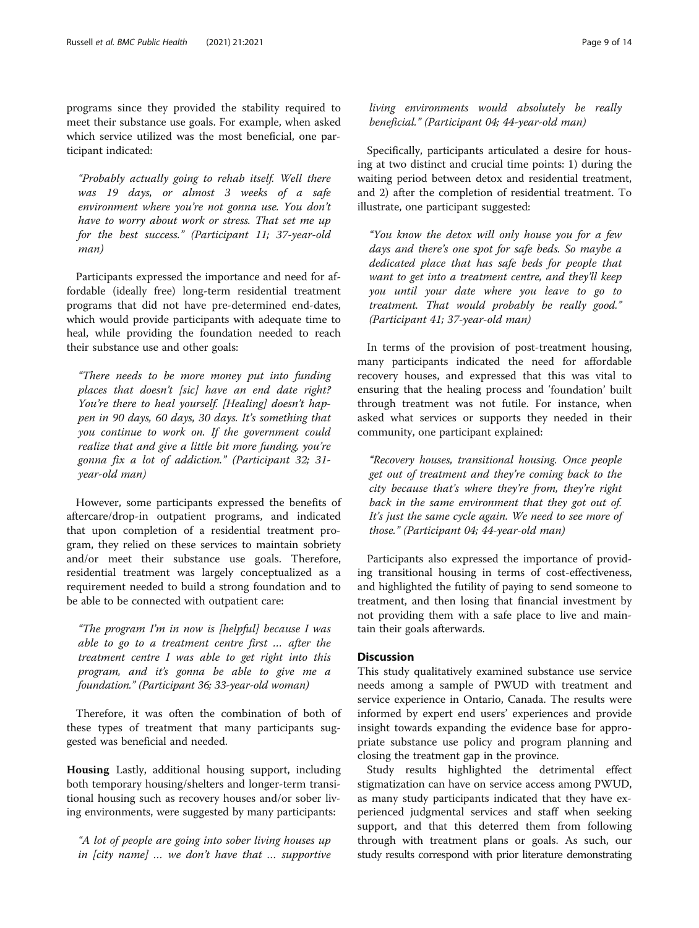programs since they provided the stability required to meet their substance use goals. For example, when asked which service utilized was the most beneficial, one participant indicated:

"Probably actually going to rehab itself. Well there was 19 days, or almost 3 weeks of a safe environment where you're not gonna use. You don't have to worry about work or stress. That set me up for the best success." (Participant 11; 37-year-old man)

Participants expressed the importance and need for affordable (ideally free) long-term residential treatment programs that did not have pre-determined end-dates, which would provide participants with adequate time to heal, while providing the foundation needed to reach their substance use and other goals:

"There needs to be more money put into funding places that doesn't [sic] have an end date right? You're there to heal yourself. [Healing] doesn't happen in 90 days, 60 days, 30 days. It's something that you continue to work on. If the government could realize that and give a little bit more funding, you're gonna fix a lot of addiction." (Participant 32; 31 year-old man)

However, some participants expressed the benefits of aftercare/drop-in outpatient programs, and indicated that upon completion of a residential treatment program, they relied on these services to maintain sobriety and/or meet their substance use goals. Therefore, residential treatment was largely conceptualized as a requirement needed to build a strong foundation and to be able to be connected with outpatient care:

"The program I'm in now is [helpful] because I was able to go to a treatment centre first … after the treatment centre I was able to get right into this program, and it's gonna be able to give me a foundation." (Participant 36; 33-year-old woman)

Therefore, it was often the combination of both of these types of treatment that many participants suggested was beneficial and needed.

Housing Lastly, additional housing support, including both temporary housing/shelters and longer-term transitional housing such as recovery houses and/or sober living environments, were suggested by many participants:

"A lot of people are going into sober living houses up in [city name] … we don't have that … supportive

living environments would absolutely be really beneficial." (Participant 04; 44-year-old man)

Specifically, participants articulated a desire for housing at two distinct and crucial time points: 1) during the waiting period between detox and residential treatment, and 2) after the completion of residential treatment. To illustrate, one participant suggested:

"You know the detox will only house you for a few days and there's one spot for safe beds. So maybe a dedicated place that has safe beds for people that want to get into a treatment centre, and they'll keep you until your date where you leave to go to treatment. That would probably be really good." (Participant 41; 37-year-old man)

In terms of the provision of post-treatment housing, many participants indicated the need for affordable recovery houses, and expressed that this was vital to ensuring that the healing process and 'foundation' built through treatment was not futile. For instance, when asked what services or supports they needed in their community, one participant explained:

"Recovery houses, transitional housing. Once people get out of treatment and they're coming back to the city because that's where they're from, they're right back in the same environment that they got out of. It's just the same cycle again. We need to see more of those." (Participant 04; 44-year-old man)

Participants also expressed the importance of providing transitional housing in terms of cost-effectiveness, and highlighted the futility of paying to send someone to treatment, and then losing that financial investment by not providing them with a safe place to live and maintain their goals afterwards.

# **Discussion**

This study qualitatively examined substance use service needs among a sample of PWUD with treatment and service experience in Ontario, Canada. The results were informed by expert end users' experiences and provide insight towards expanding the evidence base for appropriate substance use policy and program planning and closing the treatment gap in the province.

Study results highlighted the detrimental effect stigmatization can have on service access among PWUD, as many study participants indicated that they have experienced judgmental services and staff when seeking support, and that this deterred them from following through with treatment plans or goals. As such, our study results correspond with prior literature demonstrating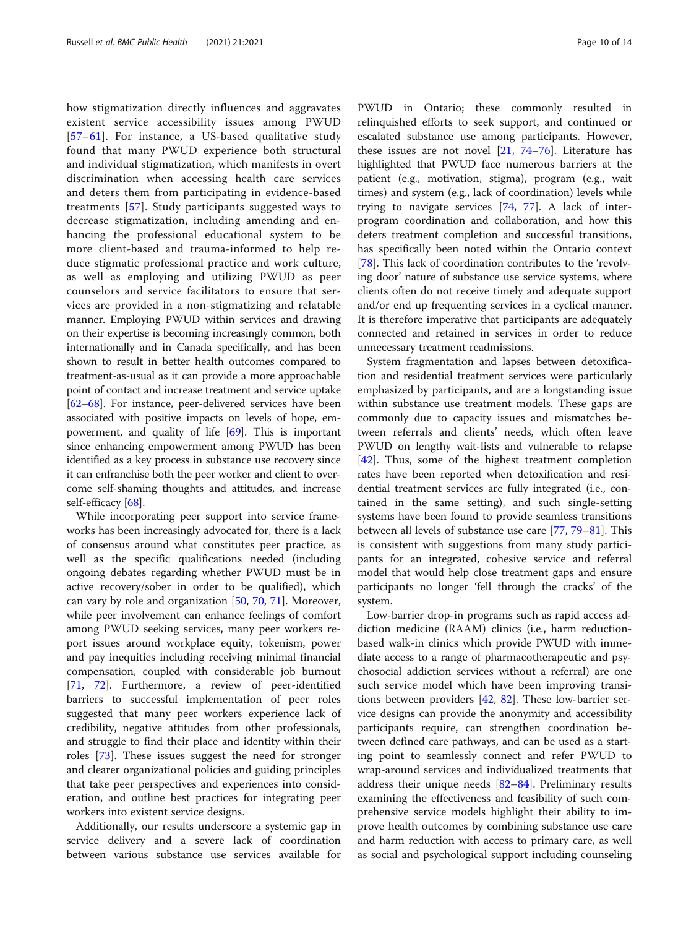how stigmatization directly influences and aggravates existent service accessibility issues among PWUD [[57](#page-12-0)–[61\]](#page-13-0). For instance, a US-based qualitative study found that many PWUD experience both structural and individual stigmatization, which manifests in overt discrimination when accessing health care services and deters them from participating in evidence-based treatments [[57](#page-12-0)]. Study participants suggested ways to decrease stigmatization, including amending and enhancing the professional educational system to be more client-based and trauma-informed to help reduce stigmatic professional practice and work culture, as well as employing and utilizing PWUD as peer counselors and service facilitators to ensure that services are provided in a non-stigmatizing and relatable manner. Employing PWUD within services and drawing on their expertise is becoming increasingly common, both internationally and in Canada specifically, and has been shown to result in better health outcomes compared to treatment-as-usual as it can provide a more approachable point of contact and increase treatment and service uptake [[62](#page-13-0)–[68\]](#page-13-0). For instance, peer-delivered services have been associated with positive impacts on levels of hope, empowerment, and quality of life [[69](#page-13-0)]. This is important since enhancing empowerment among PWUD has been identified as a key process in substance use recovery since it can enfranchise both the peer worker and client to overcome self-shaming thoughts and attitudes, and increase self-efficacy [[68](#page-13-0)].

While incorporating peer support into service frameworks has been increasingly advocated for, there is a lack of consensus around what constitutes peer practice, as well as the specific qualifications needed (including ongoing debates regarding whether PWUD must be in active recovery/sober in order to be qualified), which can vary by role and organization [\[50](#page-12-0), [70](#page-13-0), [71](#page-13-0)]. Moreover, while peer involvement can enhance feelings of comfort among PWUD seeking services, many peer workers report issues around workplace equity, tokenism, power and pay inequities including receiving minimal financial compensation, coupled with considerable job burnout [[71,](#page-13-0) [72](#page-13-0)]. Furthermore, a review of peer-identified barriers to successful implementation of peer roles suggested that many peer workers experience lack of credibility, negative attitudes from other professionals, and struggle to find their place and identity within their roles [\[73](#page-13-0)]. These issues suggest the need for stronger and clearer organizational policies and guiding principles that take peer perspectives and experiences into consideration, and outline best practices for integrating peer workers into existent service designs.

Additionally, our results underscore a systemic gap in service delivery and a severe lack of coordination between various substance use services available for

PWUD in Ontario; these commonly resulted in relinquished efforts to seek support, and continued or escalated substance use among participants. However, these issues are not novel  $[21, 74-76]$  $[21, 74-76]$  $[21, 74-76]$  $[21, 74-76]$  $[21, 74-76]$  $[21, 74-76]$  $[21, 74-76]$ . Literature has highlighted that PWUD face numerous barriers at the patient (e.g., motivation, stigma), program (e.g., wait times) and system (e.g., lack of coordination) levels while trying to navigate services [\[74](#page-13-0), [77\]](#page-13-0). A lack of interprogram coordination and collaboration, and how this deters treatment completion and successful transitions, has specifically been noted within the Ontario context [[78\]](#page-13-0). This lack of coordination contributes to the 'revolving door' nature of substance use service systems, where clients often do not receive timely and adequate support and/or end up frequenting services in a cyclical manner. It is therefore imperative that participants are adequately connected and retained in services in order to reduce unnecessary treatment readmissions.

System fragmentation and lapses between detoxification and residential treatment services were particularly emphasized by participants, and are a longstanding issue within substance use treatment models. These gaps are commonly due to capacity issues and mismatches between referrals and clients' needs, which often leave PWUD on lengthy wait-lists and vulnerable to relapse [[42\]](#page-12-0). Thus, some of the highest treatment completion rates have been reported when detoxification and residential treatment services are fully integrated (i.e., contained in the same setting), and such single-setting systems have been found to provide seamless transitions between all levels of substance use care [[77,](#page-13-0) [79](#page-13-0)–[81](#page-13-0)]. This is consistent with suggestions from many study participants for an integrated, cohesive service and referral model that would help close treatment gaps and ensure participants no longer 'fell through the cracks' of the system.

Low-barrier drop-in programs such as rapid access addiction medicine (RAAM) clinics (i.e., harm reductionbased walk-in clinics which provide PWUD with immediate access to a range of pharmacotherapeutic and psychosocial addiction services without a referral) are one such service model which have been improving transitions between providers [\[42,](#page-12-0) [82\]](#page-13-0). These low-barrier service designs can provide the anonymity and accessibility participants require, can strengthen coordination between defined care pathways, and can be used as a starting point to seamlessly connect and refer PWUD to wrap-around services and individualized treatments that address their unique needs [\[82](#page-13-0)–[84\]](#page-13-0). Preliminary results examining the effectiveness and feasibility of such comprehensive service models highlight their ability to improve health outcomes by combining substance use care and harm reduction with access to primary care, as well as social and psychological support including counseling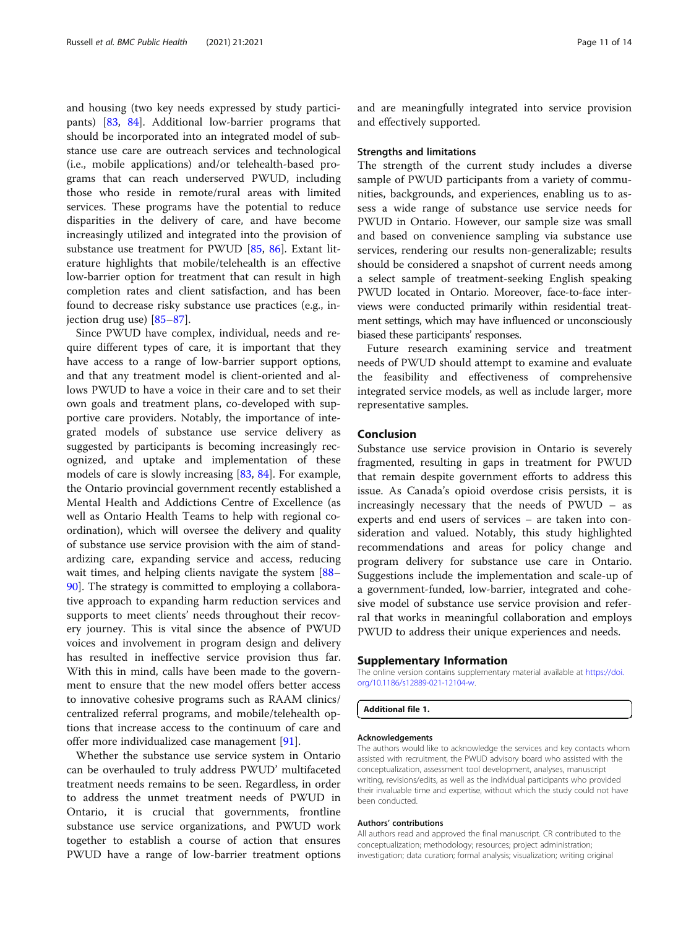<span id="page-10-0"></span>and housing (two key needs expressed by study participants) [[83,](#page-13-0) [84](#page-13-0)]. Additional low-barrier programs that should be incorporated into an integrated model of substance use care are outreach services and technological (i.e., mobile applications) and/or telehealth-based programs that can reach underserved PWUD, including those who reside in remote/rural areas with limited services. These programs have the potential to reduce disparities in the delivery of care, and have become increasingly utilized and integrated into the provision of substance use treatment for PWUD [[85](#page-13-0), [86](#page-13-0)]. Extant literature highlights that mobile/telehealth is an effective low-barrier option for treatment that can result in high completion rates and client satisfaction, and has been found to decrease risky substance use practices (e.g., injection drug use) [[85](#page-13-0)–[87](#page-13-0)].

Since PWUD have complex, individual, needs and require different types of care, it is important that they have access to a range of low-barrier support options, and that any treatment model is client-oriented and allows PWUD to have a voice in their care and to set their own goals and treatment plans, co-developed with supportive care providers. Notably, the importance of integrated models of substance use service delivery as suggested by participants is becoming increasingly recognized, and uptake and implementation of these models of care is slowly increasing [[83](#page-13-0), [84](#page-13-0)]. For example, the Ontario provincial government recently established a Mental Health and Addictions Centre of Excellence (as well as Ontario Health Teams to help with regional coordination), which will oversee the delivery and quality of substance use service provision with the aim of standardizing care, expanding service and access, reducing wait times, and helping clients navigate the system [[88](#page-13-0)– [90\]](#page-13-0). The strategy is committed to employing a collaborative approach to expanding harm reduction services and supports to meet clients' needs throughout their recovery journey. This is vital since the absence of PWUD voices and involvement in program design and delivery has resulted in ineffective service provision thus far. With this in mind, calls have been made to the government to ensure that the new model offers better access to innovative cohesive programs such as RAAM clinics/ centralized referral programs, and mobile/telehealth options that increase access to the continuum of care and offer more individualized case management [\[91](#page-13-0)].

Whether the substance use service system in Ontario can be overhauled to truly address PWUD' multifaceted treatment needs remains to be seen. Regardless, in order to address the unmet treatment needs of PWUD in Ontario, it is crucial that governments, frontline substance use service organizations, and PWUD work together to establish a course of action that ensures PWUD have a range of low-barrier treatment options

and are meaningfully integrated into service provision and effectively supported.

# Strengths and limitations

The strength of the current study includes a diverse sample of PWUD participants from a variety of communities, backgrounds, and experiences, enabling us to assess a wide range of substance use service needs for PWUD in Ontario. However, our sample size was small and based on convenience sampling via substance use services, rendering our results non-generalizable; results should be considered a snapshot of current needs among a select sample of treatment-seeking English speaking PWUD located in Ontario. Moreover, face-to-face interviews were conducted primarily within residential treatment settings, which may have influenced or unconsciously biased these participants' responses.

Future research examining service and treatment needs of PWUD should attempt to examine and evaluate the feasibility and effectiveness of comprehensive integrated service models, as well as include larger, more representative samples.

# Conclusion

Substance use service provision in Ontario is severely fragmented, resulting in gaps in treatment for PWUD that remain despite government efforts to address this issue. As Canada's opioid overdose crisis persists, it is increasingly necessary that the needs of PWUD – as experts and end users of services – are taken into consideration and valued. Notably, this study highlighted recommendations and areas for policy change and program delivery for substance use care in Ontario. Suggestions include the implementation and scale-up of a government-funded, low-barrier, integrated and cohesive model of substance use service provision and referral that works in meaningful collaboration and employs PWUD to address their unique experiences and needs.

#### Supplementary Information

The online version contains supplementary material available at [https://doi.](https://doi.org/10.1186/s12889-021-12104-w) [org/10.1186/s12889-021-12104-w](https://doi.org/10.1186/s12889-021-12104-w).

Additional file 1.

#### Acknowledgements

The authors would like to acknowledge the services and key contacts whom assisted with recruitment, the PWUD advisory board who assisted with the conceptualization, assessment tool development, analyses, manuscript writing, revisions/edits, as well as the individual participants who provided their invaluable time and expertise, without which the study could not have been conducted.

#### Authors' contributions

All authors read and approved the final manuscript. CR contributed to the conceptualization; methodology; resources; project administration; investigation; data curation; formal analysis; visualization; writing original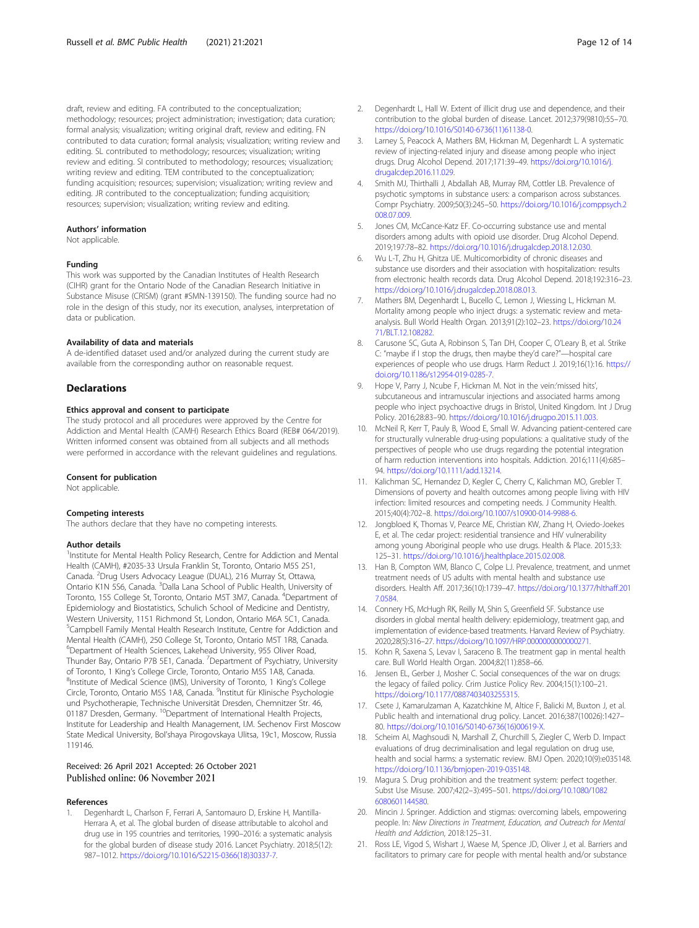<span id="page-11-0"></span>draft, review and editing. FA contributed to the conceptualization; methodology; resources; project administration; investigation; data curation; formal analysis; visualization; writing original draft, review and editing. FN contributed to data curation; formal analysis; visualization; writing review and editing. SL contributed to methodology; resources; visualization; writing review and editing. SI contributed to methodology; resources; visualization; writing review and editing. TEM contributed to the conceptualization; funding acquisition; resources; supervision; visualization; writing review and editing. JR contributed to the conceptualization; funding acquisition; resources; supervision; visualization; writing review and editing.

### Authors' information

Not applicable.

# Funding

This work was supported by the Canadian Institutes of Health Research (CIHR) grant for the Ontario Node of the Canadian Research Initiative in Substance Misuse (CRISM) (grant #SMN-139150). The funding source had no role in the design of this study, nor its execution, analyses, interpretation of data or publication.

#### Availability of data and materials

A de-identified dataset used and/or analyzed during the current study are available from the corresponding author on reasonable request.

#### **Declarations**

### Ethics approval and consent to participate

The study protocol and all procedures were approved by the Centre for Addiction and Mental Health (CAMH) Research Ethics Board (REB# 064/2019). Written informed consent was obtained from all subjects and all methods were performed in accordance with the relevant guidelines and regulations.

#### Consent for publication

Not applicable.

#### Competing interests

The authors declare that they have no competing interests.

#### Author details

<sup>1</sup>Institute for Mental Health Policy Research, Centre for Addiction and Mental Health (CAMH), #2035-33 Ursula Franklin St, Toronto, Ontario M5S 2S1, Canada. <sup>2</sup>Drug Users Advocacy League (DUAL), 216 Murray St, Ottawa, Ontario K1N 5S6, Canada. <sup>3</sup>Dalla Lana School of Public Health, University of Toronto, 155 College St, Toronto, Ontario M5T 3M7, Canada. <sup>4</sup>Department of Epidemiology and Biostatistics, Schulich School of Medicine and Dentistry, Western University, 1151 Richmond St, London, Ontario M6A 5C1, Canada. <sup>5</sup>Campbell Family Mental Health Research Institute, Centre for Addiction and Mental Health (CAMH), 250 College St, Toronto, Ontario M5T 1R8, Canada. 6 Department of Health Sciences, Lakehead University, 955 Oliver Road, Thunder Bay, Ontario P7B 5E1, Canada. <sup>7</sup> Department of Psychiatry, University of Toronto, 1 King's College Circle, Toronto, Ontario M5S 1A8, Canada. <sup>8</sup>Institute of Medical Science (IMS), University of Toronto, 1 King's College Circle, Toronto, Ontario M5S 1A8, Canada. <sup>9</sup>Institut für Klinische Psychologie und Psychotherapie, Technische Universität Dresden, Chemnitzer Str. 46, 01187 Dresden, Germany. <sup>10</sup>Department of International Health Projects, Institute for Leadership and Health Management, I.M. Sechenov First Moscow State Medical University, Bol'shaya Pirogovskaya Ulitsa, 19с1, Moscow, Russia 119146.

# Received: 26 April 2021 Accepted: 26 October 2021 Published online: 06 November 2021

# References

Degenhardt L, Charlson F, Ferrari A, Santomauro D, Erskine H, Mantilla-Herrara A, et al. The global burden of disease attributable to alcohol and drug use in 195 countries and territories, 1990–2016: a systematic analysis for the global burden of disease study 2016. Lancet Psychiatry. 2018;5(12): 987–1012. [https://doi.org/10.1016/S2215-0366\(18\)30337-7](https://doi.org/10.1016/S2215-0366(18)30337-7).

- 2. Degenhardt L, Hall W. Extent of illicit drug use and dependence, and their contribution to the global burden of disease. Lancet. 2012;379(9810):55–70. [https://doi.org/10.1016/S0140-6736\(11\)61138-0.](https://doi.org/10.1016/S0140-6736(11)61138-0)
- 3. Larney S, Peacock A, Mathers BM, Hickman M, Degenhardt L. A systematic review of injecting-related injury and disease among people who inject drugs. Drug Alcohol Depend. 2017;171:39–49. [https://doi.org/10.1016/j.](https://doi.org/10.1016/j.drugalcdep.2016.11.029) [drugalcdep.2016.11.029](https://doi.org/10.1016/j.drugalcdep.2016.11.029).
- 4. Smith MJ, Thirthalli J, Abdallah AB, Murray RM, Cottler LB. Prevalence of psychotic symptoms in substance users: a comparison across substances. Compr Psychiatry. 2009;50(3):245–50. [https://doi.org/10.1016/j.comppsych.2](https://doi.org/10.1016/j.comppsych.2008.07.009) [008.07.009](https://doi.org/10.1016/j.comppsych.2008.07.009).
- 5. Jones CM, McCance-Katz EF. Co-occurring substance use and mental disorders among adults with opioid use disorder. Drug Alcohol Depend. 2019;197:78–82. <https://doi.org/10.1016/j.drugalcdep.2018.12.030>.
- 6. Wu L-T, Zhu H, Ghitza UE. Multicomorbidity of chronic diseases and substance use disorders and their association with hospitalization: results from electronic health records data. Drug Alcohol Depend. 2018;192:316–23. <https://doi.org/10.1016/j.drugalcdep.2018.08.013>.
- 7. Mathers BM, Degenhardt L, Bucello C, Lemon J, Wiessing L, Hickman M. Mortality among people who inject drugs: a systematic review and metaanalysis. Bull World Health Organ. 2013;91(2):102–23. [https://doi.org/10.24](https://doi.org/10.2471/BLT.12.108282) 71/RIT12108282
- 8. Carusone SC, Guta A, Robinson S, Tan DH, Cooper C, O'Leary B, et al. Strike C: "maybe if I stop the drugs, then maybe they'd care?"—hospital care experiences of people who use drugs. Harm Reduct J. 2019;16(1):16. [https://](https://doi.org/10.1186/s12954-019-0285-7) [doi.org/10.1186/s12954-019-0285-7.](https://doi.org/10.1186/s12954-019-0285-7)
- 9. Hope V, Parry J, Ncube F, Hickman M. Not in the vein:'missed hits', subcutaneous and intramuscular injections and associated harms among people who inject psychoactive drugs in Bristol, United Kingdom. Int J Drug Policy. 2016;28:83–90. <https://doi.org/10.1016/j.drugpo.2015.11.003>.
- 10. McNeil R, Kerr T, Pauly B, Wood E, Small W. Advancing patient-centered care for structurally vulnerable drug-using populations: a qualitative study of the perspectives of people who use drugs regarding the potential integration of harm reduction interventions into hospitals. Addiction. 2016;111(4):685– 94. <https://doi.org/10.1111/add.13214>.
- 11. Kalichman SC, Hernandez D, Kegler C, Cherry C, Kalichman MO, Grebler T. Dimensions of poverty and health outcomes among people living with HIV infection: limited resources and competing needs. J Community Health. 2015;40(4):702–8. [https://doi.org/10.1007/s10900-014-9988-6.](https://doi.org/10.1007/s10900-014-9988-6)
- 12. Jongbloed K, Thomas V, Pearce ME, Christian KW, Zhang H, Oviedo-Joekes E, et al. The cedar project: residential transience and HIV vulnerability among young Aboriginal people who use drugs. Health & Place. 2015;33: 125–31. [https://doi.org/10.1016/j.healthplace.2015.02.008.](https://doi.org/10.1016/j.healthplace.2015.02.008)
- 13. Han B, Compton WM, Blanco C, Colpe LJ. Prevalence, treatment, and unmet treatment needs of US adults with mental health and substance use disorders. Health Aff. 2017;36(10):1739–47. [https://doi.org/10.1377/hlthaff.201](https://doi.org/10.1377/hlthaff.2017.0584) [7.0584](https://doi.org/10.1377/hlthaff.2017.0584).
- 14. Connery HS, McHugh RK, Reilly M, Shin S, Greenfield SF. Substance use disorders in global mental health delivery: epidemiology, treatment gap, and implementation of evidence-based treatments. Harvard Review of Psychiatry. 2020;28(5):316–27. <https://doi.org/10.1097/HRP.0000000000000271>.
- 15. Kohn R, Saxena S, Levav I, Saraceno B. The treatment gap in mental health care. Bull World Health Organ. 2004;82(11):858–66.
- 16. Jensen EL, Gerber J, Mosher C. Social consequences of the war on drugs: the legacy of failed policy. Crim Justice Policy Rev. 2004;15(1):100–21. [https://doi.org/10.1177/0887403403255315.](https://doi.org/10.1177/0887403403255315)
- 17. Csete J, Kamarulzaman A, Kazatchkine M, Altice F, Balicki M, Buxton J, et al. Public health and international drug policy. Lancet. 2016;387(10026):1427– 80. [https://doi.org/10.1016/S0140-6736\(16\)00619-X](https://doi.org/10.1016/S0140-6736(16)00619-X).
- 18. Scheim AI, Maghsoudi N, Marshall Z, Churchill S, Ziegler C, Werb D. Impact evaluations of drug decriminalisation and legal regulation on drug use, health and social harms: a systematic review. BMJ Open. 2020;10(9):e035148. <https://doi.org/10.1136/bmjopen-2019-035148>.
- 19. Magura S. Drug prohibition and the treatment system: perfect together. Subst Use Misuse. 2007;42(2–3):495–501. [https://doi.org/10.1080/1082](https://doi.org/10.1080/10826080601144580) [6080601144580](https://doi.org/10.1080/10826080601144580).
- 20. Mincin J. Springer. Addiction and stigmas: overcoming labels, empowering people. In: New Directions in Treatment, Education, and Outreach for Mental Health and Addiction, 2018:125–31.
- 21. Ross LE, Vigod S, Wishart J, Waese M, Spence JD, Oliver J, et al. Barriers and facilitators to primary care for people with mental health and/or substance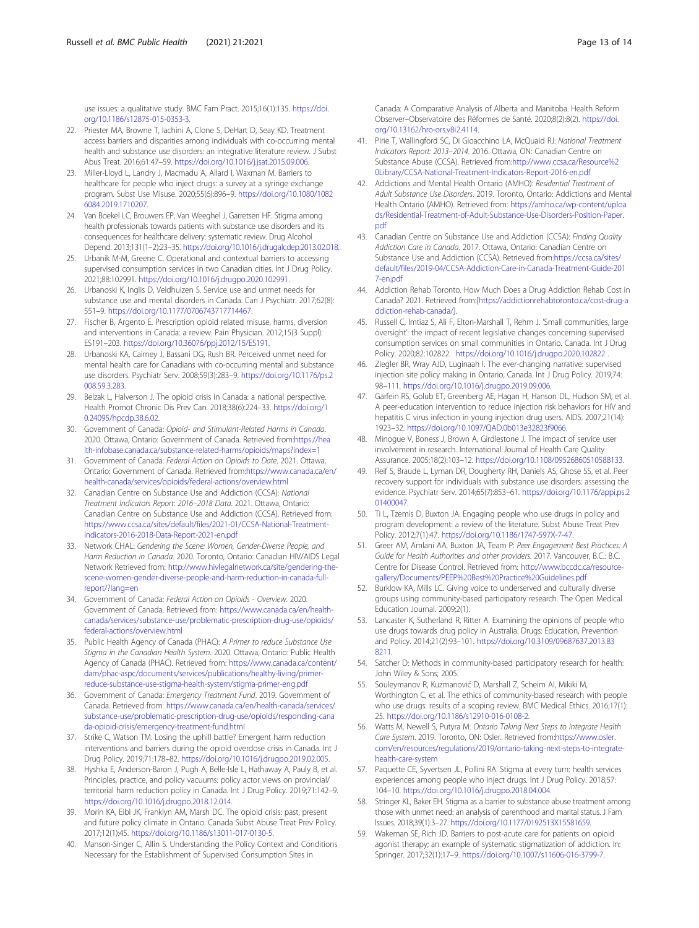<span id="page-12-0"></span>use issues: a qualitative study. BMC Fam Pract. 2015;16(1):135. [https://doi.](https://doi.org/10.1186/s12875-015-0353-3) [org/10.1186/s12875-015-0353-3](https://doi.org/10.1186/s12875-015-0353-3).

- 22. Priester MA, Browne T, Iachini A, Clone S, DeHart D, Seay KD. Treatment access barriers and disparities among individuals with co-occurring mental health and substance use disorders: an integrative literature review. J Subst Abus Treat. 2016;61:47–59. [https://doi.org/10.1016/j.jsat.2015.09.006.](https://doi.org/10.1016/j.jsat.2015.09.006)
- 23. Miller-Lloyd L, Landry J, Macmadu A, Allard I, Waxman M. Barriers to healthcare for people who inject drugs: a survey at a syringe exchange program. Subst Use Misuse. 2020;55(6):896–9. [https://doi.org/10.1080/1082](https://doi.org/10.1080/10826084.2019.1710207) [6084.2019.1710207](https://doi.org/10.1080/10826084.2019.1710207).
- 24. Van Boekel LC, Brouwers EP, Van Weeghel J, Garretsen HF. Stigma among health professionals towards patients with substance use disorders and its consequences for healthcare delivery: systematic review. Drug Alcohol Depend. 2013;131(1–2):23–35. <https://doi.org/10.1016/j.drugalcdep.2013.02.018>.
- 25. Urbanik M-M, Greene C. Operational and contextual barriers to accessing supervised consumption services in two Canadian cities. Int J Drug Policy. 2021;88:102991. [https://doi.org/10.1016/j.drugpo.2020.102991.](https://doi.org/10.1016/j.drugpo.2020.102991)
- 26. Urbanoski K, Inglis D, Veldhuizen S. Service use and unmet needs for substance use and mental disorders in Canada. Can J Psychiatr. 2017;62(8): 551–9. <https://doi.org/10.1177/0706743717714467>.
- 27. Fischer B, Argento E. Prescription opioid related misuse, harms, diversion and interventions in Canada: a review. Pain Physician. 2012;15(3 Suppl): ES191–203. [https://doi.org/10.36076/ppj.2012/15/ES191.](https://doi.org/10.36076/ppj.2012/15/ES191)
- 28. Urbanoski KA, Cairney J, Bassani DG, Rush BR. Perceived unmet need for mental health care for Canadians with co-occurring mental and substance use disorders. Psychiatr Serv. 2008;59(3):283–9. [https://doi.org/10.1176/ps.2](https://doi.org/10.1176/ps.2008.59.3.283) [008.59.3.283.](https://doi.org/10.1176/ps.2008.59.3.283)
- 29. Belzak L, Halverson J. The opioid crisis in Canada: a national perspective. Health Promot Chronic Dis Prev Can. 2018;38(6):224–33. [https://doi.org/1](https://doi.org/10.24095/hpcdp.38.6.02) [0.24095/hpcdp.38.6.02.](https://doi.org/10.24095/hpcdp.38.6.02)
- 30. Government of Canada: Opioid- and Stimulant-Related Harms in Canada. 2020. Ottawa, Ontario: Government of Canada. Retrieved from:[https://hea](https://health-infobase.canada.ca/substance-related-harms/opioids/maps?index=1) [lth-infobase.canada.ca/substance-related-harms/opioids/maps?index=1](https://health-infobase.canada.ca/substance-related-harms/opioids/maps?index=1)
- 31. Government of Canada: Federal Action on Opioids to Date. 2021. Ottawa, Ontario: Government of Canada. Retrieved from:[https://www.canada.ca/en/](https://www.canada.ca/en/health-canada/services/opioids/federal-actions/overview.html) [health-canada/services/opioids/federal-actions/overview.html](https://www.canada.ca/en/health-canada/services/opioids/federal-actions/overview.html)
- 32. Canadian Centre on Substance Use and Addiction (CCSA): National Treatment Indicators Report: 2016–2018 Data. 2021. Ottawa, Ontario: Canadian Centre on Substance Use and Addiction (CCSA). Retrieved from: [https://www.ccsa.ca/sites/default/files/2021-01/CCSA-National-Treatment-](https://www.ccsa.ca/sites/default/files/2021-01/CCSA-National-Treatment-Indicators-2016-2018-Data-Report-2021-en.pdf)[Indicators-2016-2018-Data-Report-2021-en.pdf](https://www.ccsa.ca/sites/default/files/2021-01/CCSA-National-Treatment-Indicators-2016-2018-Data-Report-2021-en.pdf)
- 33. Network CHAL: Gendering the Scene: Women, Gender-Diverse People, and Harm Reduction in Canada. 2020. Toronto, Ontario: Canadian HIV/AIDS Legal Network Retrieved from: [http://www.hivlegalnetwork.ca/site/gendering-the](http://www.hivlegalnetwork.ca/site/gendering-the-scene-women-gender-diverse-people-and-harm-reduction-in-canada-full-report/?lang=en)[scene-women-gender-diverse-people-and-harm-reduction-in-canada-full](http://www.hivlegalnetwork.ca/site/gendering-the-scene-women-gender-diverse-people-and-harm-reduction-in-canada-full-report/?lang=en)[report/?lang=en](http://www.hivlegalnetwork.ca/site/gendering-the-scene-women-gender-diverse-people-and-harm-reduction-in-canada-full-report/?lang=en)
- 34. Government of Canada: Federal Action on Opioids Overview. 2020. Government of Canada. Retrieved from: [https://www.canada.ca/en/health](https://www.canada.ca/en/health-canada/services/substance-use/problematic-prescription-drug-use/opioids/federal-actions/overview.html)[canada/services/substance-use/problematic-prescription-drug-use/opioids/](https://www.canada.ca/en/health-canada/services/substance-use/problematic-prescription-drug-use/opioids/federal-actions/overview.html) [federal-actions/overview.html](https://www.canada.ca/en/health-canada/services/substance-use/problematic-prescription-drug-use/opioids/federal-actions/overview.html)
- 35. Public Health Agency of Canada (PHAC): A Primer to reduce Substance Use Stigma in the Canadian Health System. 2020. Ottawa, Ontario: Public Health Agency of Canada (PHAC). Retrieved from: [https://www.canada.ca/content/](https://www.canada.ca/content/dam/phac-aspc/documents/services/publications/healthy-living/primer-reduce-substance-use-stigma-health-system/stigma-primer-eng.pdf) [dam/phac-aspc/documents/services/publications/healthy-living/primer](https://www.canada.ca/content/dam/phac-aspc/documents/services/publications/healthy-living/primer-reduce-substance-use-stigma-health-system/stigma-primer-eng.pdf)[reduce-substance-use-stigma-health-system/stigma-primer-eng.pdf](https://www.canada.ca/content/dam/phac-aspc/documents/services/publications/healthy-living/primer-reduce-substance-use-stigma-health-system/stigma-primer-eng.pdf)
- 36. Government of Canada: Emergency Treatment Fund. 2019. Government of Canada. Retrieved from: [https://www.canada.ca/en/health-canada/services/](https://www.canada.ca/en/health-canada/services/substance-use/problematic-prescription-drug-use/opioids/responding-canada-opioid-crisis/emergency-treatment-fund.html) [substance-use/problematic-prescription-drug-use/opioids/responding-cana](https://www.canada.ca/en/health-canada/services/substance-use/problematic-prescription-drug-use/opioids/responding-canada-opioid-crisis/emergency-treatment-fund.html) [da-opioid-crisis/emergency-treatment-fund.html](https://www.canada.ca/en/health-canada/services/substance-use/problematic-prescription-drug-use/opioids/responding-canada-opioid-crisis/emergency-treatment-fund.html)
- 37. Strike C, Watson TM. Losing the uphill battle? Emergent harm reduction interventions and barriers during the opioid overdose crisis in Canada. Int J Drug Policy. 2019;71:178–82. <https://doi.org/10.1016/j.drugpo.2019.02.005>.
- 38. Hyshka E, Anderson-Baron J, Pugh A, Belle-Isle L, Hathaway A, Pauly B, et al. Principles, practice, and policy vacuums: policy actor views on provincial/ territorial harm reduction policy in Canada. Int J Drug Policy. 2019;71:142–9. <https://doi.org/10.1016/j.drugpo.2018.12.014>.
- 39. Morin KA, Eibl JK, Franklyn AM, Marsh DC. The opioid crisis: past, present and future policy climate in Ontario. Canada Subst Abuse Treat Prev Policy. 2017;12(1):45. <https://doi.org/10.1186/s13011-017-0130-5>.
- 40. Manson-Singer C, Allin S. Understanding the Policy Context and Conditions Necessary for the Establishment of Supervised Consumption Sites in

Canada: A Comparative Analysis of Alberta and Manitoba. Health Reform Observer–Observatoire des Réformes de Santé. 2020;8(2):8(2). [https://doi.](https://doi.org/10.13162/hro-ors.v8i2.4114) [org/10.13162/hro-ors.v8i2.4114](https://doi.org/10.13162/hro-ors.v8i2.4114).

- 41. Pirie T, Wallingford SC, Di Gioacchino LA, McQuaid RJ: National Treatment Indicators Report: 2013–2014. 2016. Ottawa, ON: Canadian Centre on Substance Abuse (CCSA). Retrieved from:[http://www.ccsa.ca/Resource%2](http://www.ccsa.ca/Resource%20Library/CCSA-National-Treatment-Indicators-Report-2016-en.pdf) [0Library/CCSA-National-Treatment-Indicators-Report-2016-en.pdf](http://www.ccsa.ca/Resource%20Library/CCSA-National-Treatment-Indicators-Report-2016-en.pdf)
- 42. Addictions and Mental Health Ontario (AMHO): Residential Treatment of Adult Substance Use Disorders. 2019. Toronto, Ontario: Addictions and Mental Health Ontario (AMHO). Retrieved from: [https://amho.ca/wp-content/uploa](https://amho.ca/wp-content/uploads/Residential-Treatment-of-Adult-Substance-Use-Disorders-Position-Paper.pdf) [ds/Residential-Treatment-of-Adult-Substance-Use-Disorders-Position-Paper.](https://amho.ca/wp-content/uploads/Residential-Treatment-of-Adult-Substance-Use-Disorders-Position-Paper.pdf) [pdf](https://amho.ca/wp-content/uploads/Residential-Treatment-of-Adult-Substance-Use-Disorders-Position-Paper.pdf)
- 43. Canadian Centre on Substance Use and Addiction (CCSA): Finding Quality Addiction Care in Canada. 2017. Ottawa, Ontario: Canadian Centre on Substance Use and Addiction (CCSA). Retrieved from[:https://ccsa.ca/sites/](https://ccsa.ca/sites/default/files/2019-04/CCSA-Addiction-Care-in-Canada-Treatment-Guide-2017-en.pdf) [default/files/2019-04/CCSA-Addiction-Care-in-Canada-Treatment-Guide-201](https://ccsa.ca/sites/default/files/2019-04/CCSA-Addiction-Care-in-Canada-Treatment-Guide-2017-en.pdf) [7-en.pdf](https://ccsa.ca/sites/default/files/2019-04/CCSA-Addiction-Care-in-Canada-Treatment-Guide-2017-en.pdf)
- 44. Addiction Rehab Toronto. How Much Does a Drug Addiction Rehab Cost in Canada? 2021. Retrieved from:[[https://addictionrehabtoronto.ca/cost-drug-a](https://addictionrehabtoronto.ca/cost-drug-addiction-rehab-canada/) [ddiction-rehab-canada/](https://addictionrehabtoronto.ca/cost-drug-addiction-rehab-canada/)].
- 45. Russell C, Imtiaz S, Ali F, Elton-Marshall T, Rehm J. 'Small communities, large oversight': the impact of recent legislative changes concerning supervised consumption services on small communities in Ontario. Canada. Int J Drug Policy. 2020;82:102822. <https://doi.org/10.1016/j.drugpo.2020.102822> .
- 46. Ziegler BR, Wray AJD, Luginaah I. The ever-changing narrative: supervised injection site policy making in Ontario, Canada. Int J Drug Policy. 2019;74: 98–111. [https://doi.org/10.1016/j.drugpo.2019.09.006.](https://doi.org/10.1016/j.drugpo.2019.09.006)
- 47. Garfein RS, Golub ET, Greenberg AE, Hagan H, Hanson DL, Hudson SM, et al. A peer-education intervention to reduce injection risk behaviors for HIV and hepatitis C virus infection in young injection drug users. AIDS. 2007;21(14): 1923–32. <https://doi.org/10.1097/QAD.0b013e32823f9066>.
- 48. Minogue V, Boness J, Brown A, Girdlestone J. The impact of service user involvement in research. International Journal of Health Care Quality Assurance. 2005;18(2):103–12. [https://doi.org/10.1108/09526860510588133.](https://doi.org/10.1108/09526860510588133)
- 49. Reif S, Braude L, Lyman DR, Dougherty RH, Daniels AS, Ghose SS, et al. Peer recovery support for individuals with substance use disorders: assessing the evidence. Psychiatr Serv. 2014;65(7):853–61. [https://doi.org/10.1176/appi.ps.2](https://doi.org/10.1176/appi.ps.201400047) [01400047](https://doi.org/10.1176/appi.ps.201400047).
- 50. Ti L, Tzemis D, Buxton JA. Engaging people who use drugs in policy and program development: a review of the literature. Subst Abuse Treat Prev Policy. 2012;7(1):47. [https://doi.org/10.1186/1747-597X-7-47.](https://doi.org/10.1186/1747-597X-7-47)
- 51. Greer AM, Amlani AA, Buxton JA, Team P: Peer Engagement Best Practices: A Guide for Health Authorities and other providers. 2017. Vancouver, B.C.: B.C. Centre for Disease Control. Retrieved from: [http://www.bccdc.ca/resource](http://www.bccdc.ca/resource-gallery/Documents/PEEP%20Best%20Practice%20Guidelines.pdf)[gallery/Documents/PEEP%20Best%20Practice%20Guidelines.pdf](http://www.bccdc.ca/resource-gallery/Documents/PEEP%20Best%20Practice%20Guidelines.pdf)
- 52. Burklow KA, Mills LC. Giving voice to underserved and culturally diverse groups using community-based participatory research. The Open Medical Education Journal. 2009;2(1).
- 53. Lancaster K, Sutherland R, Ritter A. Examining the opinions of people who use drugs towards drug policy in Australia. Drugs: Education, Prevention and Policy. 2014;21(2):93–101. [https://doi.org/10.3109/09687637.2013.83](https://doi.org/10.3109/09687637.2013.838211) [8211](https://doi.org/10.3109/09687637.2013.838211).
- 54. Satcher D: Methods in community-based participatory research for health: John Wiley & Sons; 2005.
- 55. Souleymanov R, Kuzmanović D, Marshall Z, Scheim AI, Mikiki M, Worthington C, et al. The ethics of community-based research with people who use drugs: results of a scoping review. BMC Medical Ethics. 2016;17(1): 25. <https://doi.org/10.1186/s12910-016-0108-2>.
- 56. Watts M, Newell S, Putyra M: Ontario Taking Next Steps to Integrate Health Care System. 2019. Toronto, ON: Osler. Retrieved from[:https://www.osler.](https://www.osler.com/en/resources/regulations/2019/ontario-taking-next-steps-to-integrate-health-care-system) [com/en/resources/regulations/2019/ontario-taking-next-steps-to-integrate](https://www.osler.com/en/resources/regulations/2019/ontario-taking-next-steps-to-integrate-health-care-system)[health-care-system](https://www.osler.com/en/resources/regulations/2019/ontario-taking-next-steps-to-integrate-health-care-system)
- 57. Paquette CE, Syvertsen JL, Pollini RA. Stigma at every turn: health services experiences among people who inject drugs. Int J Drug Policy. 2018;57: 104–10. [https://doi.org/10.1016/j.drugpo.2018.04.004.](https://doi.org/10.1016/j.drugpo.2018.04.004)
- 58. Stringer KL, Baker EH. Stigma as a barrier to substance abuse treatment among those with unmet need: an analysis of parenthood and marital status. J Fam Issues. 2018;39(1):3–27. [https://doi.org/10.1177/0192513X15581659.](https://doi.org/10.1177/0192513X15581659)
- 59. Wakeman SE, Rich JD. Barriers to post-acute care for patients on opioid agonist therapy; an example of systematic stigmatization of addiction. In: Springer. 2017;32(1):17–9. <https://doi.org/10.1007/s11606-016-3799-7>.